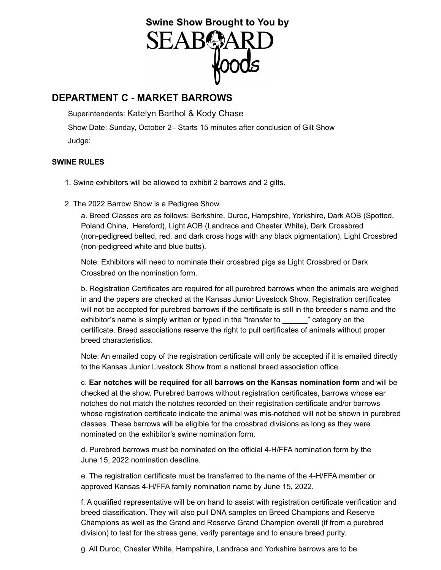# Swine Show Brought to You by<br>SEAB**C**ARD<br>**WOOdS**

# **DEPARTMENT C - MARKET BARROWS**

Superintendents: Katelyn Barthol & Kody Chase Show Date: Sunday, October 2– Starts 15 minutes after conclusion of Gilt Show

Judge:

### **SWINE RULES**

- 1. Swine exhibitors will be allowed to exhibit 2 barrows and 2 gilts.
- 2. The 2022 Barrow Show is a Pedigree Show.

a. Breed Classes are as follows: Berkshire, Duroc, Hampshire, Yorkshire, Dark AOB (Spotted, Poland China, Hereford), Light AOB (Landrace and Chester White), Dark Crossbred (non-pedigreed belted, red, and dark cross hogs with any black pigmentation), Light Crossbred (non-pedigreed white and blue butts).

Note: Exhibitors will need to nominate their crossbred pigs as Light Crossbred or Dark Crossbred on the nomination form.

b. Registration Certificates are required for all purebred barrows when the animals are weighed in and the papers are checked at the Kansas Junior Livestock Show. Registration certificates will not be accepted for purebred barrows if the certificate is still in the breeder's name and the exhibitor's name is simply written or typed in the "transfer to  $\blacksquare$  " category on the certificate. Breed associations reserve the right to pull certificates of animals without proper breed characteristics.

Note: An emailed copy of the registration certificate will only be accepted if it is emailed directly to the Kansas Junior Livestock Show from a national breed association office.

c. **Ear notches will be required for all barrows on the Kansas nomination form** and will be checked at the show. Purebred barrows without registration certificates, barrows whose ear notches do not match the notches recorded on their registration certificate and/or barrows whose registration certificate indicate the animal was mis-notched will not be shown in purebred classes. These barrows will be eligible for the crossbred divisions as long as they were nominated on the exhibitor's swine nomination form.

d. Purebred barrows must be nominated on the official 4-H/FFA nomination form by the June 15, 2022 nomination deadline.

e. The registration certificate must be transferred to the name of the 4-H/FFA member or approved Kansas 4-H/FFA family nomination name by June 15, 2022.

f. A qualified representative will be on hand to assist with registration certificate verification and breed classification. They will also pull DNA samples on Breed Champions and Reserve Champions as well as the Grand and Reserve Grand Champion overall (if from a purebred division) to test for the stress gene, verify parentage and to ensure breed purity.

g. All Duroc, Chester White, Hampshire, Landrace and Yorkshire barrows are to be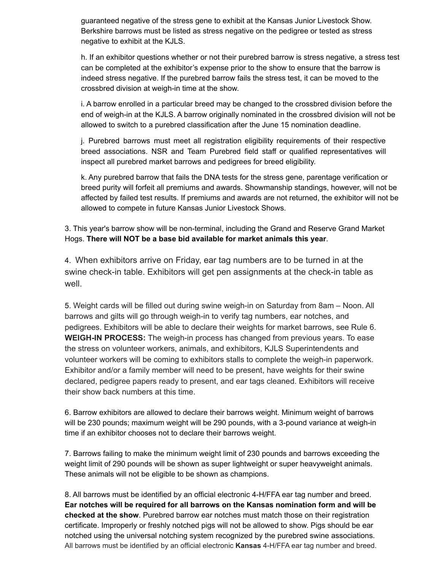guaranteed negative of the stress gene to exhibit at the Kansas Junior Livestock Show. Berkshire barrows must be listed as stress negative on the pedigree or tested as stress negative to exhibit at the KJLS.

h. If an exhibitor questions whether or not their purebred barrow is stress negative, a stress test can be completed at the exhibitor's expense prior to the show to ensure that the barrow is indeed stress negative. If the purebred barrow fails the stress test, it can be moved to the crossbred division at weigh-in time at the show.

i. A barrow enrolled in a particular breed may be changed to the crossbred division before the end of weigh-in at the KJLS. A barrow originally nominated in the crossbred division will not be allowed to switch to a purebred classification after the June 15 nomination deadline.

j. Purebred barrows must meet all registration eligibility requirements of their respective breed associations. NSR and Team Purebred field staff or qualified representatives will inspect all purebred market barrows and pedigrees for breed eligibility.

k. Any purebred barrow that fails the DNA tests for the stress gene, parentage verification or breed purity will forfeit all premiums and awards. Showmanship standings, however, will not be affected by failed test results. If premiums and awards are not returned, the exhibitor will not be allowed to compete in future Kansas Junior Livestock Shows.

3. This year's barrow show will be non-terminal, including the Grand and Reserve Grand Market Hogs. **There will NOT be a base bid available for market animals this year**.

4. When exhibitors arrive on Friday, ear tag numbers are to be turned in at the swine check-in table. Exhibitors will get pen assignments at the check-in table as well.

5. Weight cards will be filled out during swine weigh-in on Saturday from 8am – Noon. All barrows and gilts will go through weigh-in to verify tag numbers, ear notches, and pedigrees. Exhibitors will be able to declare their weights for market barrows, see Rule 6. **WEIGH-IN PROCESS:** The weigh-in process has changed from previous years. To ease the stress on volunteer workers, animals, and exhibitors, KJLS Superintendents and volunteer workers will be coming to exhibitors stalls to complete the weigh-in paperwork. Exhibitor and/or a family member will need to be present, have weights for their swine declared, pedigree papers ready to present, and ear tags cleaned. Exhibitors will receive their show back numbers at this time.

6. Barrow exhibitors are allowed to declare their barrows weight. Minimum weight of barrows will be 230 pounds; maximum weight will be 290 pounds, with a 3-pound variance at weigh-in time if an exhibitor chooses not to declare their barrows weight.

7. Barrows failing to make the minimum weight limit of 230 pounds and barrows exceeding the weight limit of 290 pounds will be shown as super lightweight or super heavyweight animals. These animals will not be eligible to be shown as champions.

8. All barrows must be identified by an official electronic 4-H/FFA ear tag number and breed. **Ear notches will be required for all barrows on the Kansas nomination form and will be checked at the show**. Purebred barrow ear notches must match those on their registration certificate. Improperly or freshly notched pigs will not be allowed to show. Pigs should be ear notched using the universal notching system recognized by the purebred swine associations. All barrows must be identified by an official electronic **Kansas** 4-H/FFA ear tag number and breed.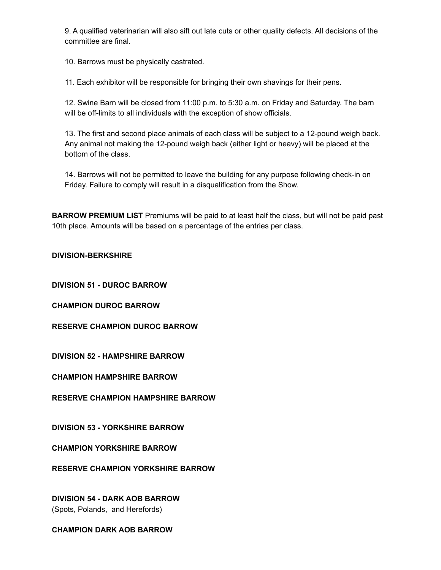9. A qualified veterinarian will also sift out late cuts or other quality defects. All decisions of the committee are final.

10. Barrows must be physically castrated.

11. Each exhibitor will be responsible for bringing their own shavings for their pens.

12. Swine Barn will be closed from 11:00 p.m. to 5:30 a.m. on Friday and Saturday. The barn will be off-limits to all individuals with the exception of show officials.

13. The first and second place animals of each class will be subject to a 12-pound weigh back. Any animal not making the 12-pound weigh back (either light or heavy) will be placed at the bottom of the class.

14. Barrows will not be permitted to leave the building for any purpose following check-in on Friday. Failure to comply will result in a disqualification from the Show.

**BARROW PREMIUM LIST** Premiums will be paid to at least half the class, but will not be paid past 10th place. Amounts will be based on a percentage of the entries per class.

#### **DIVISION-BERKSHIRE**

**DIVISION 51 - DUROC BARROW**

**CHAMPION DUROC BARROW**

**RESERVE CHAMPION DUROC BARROW**

**DIVISION 52 - HAMPSHIRE BARROW**

**CHAMPION HAMPSHIRE BARROW**

**RESERVE CHAMPION HAMPSHIRE BARROW**

**DIVISION 53 - YORKSHIRE BARROW**

**CHAMPION YORKSHIRE BARROW**

**RESERVE CHAMPION YORKSHIRE BARROW**

**DIVISION 54 - DARK AOB BARROW** (Spots, Polands, and Herefords)

**CHAMPION DARK AOB BARROW**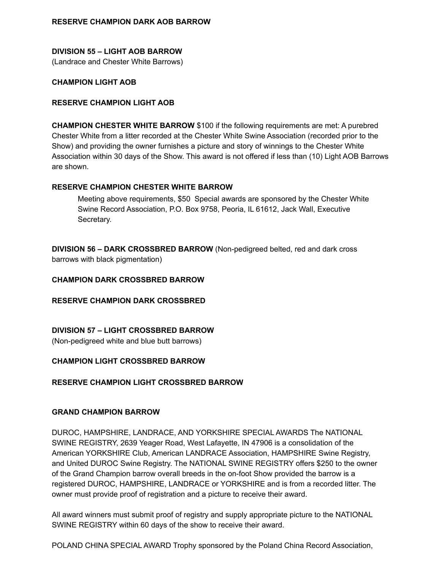# **DIVISION 55 – LIGHT AOB BARROW**

(Landrace and Chester White Barrows)

#### **CHAMPION LIGHT AOB**

#### **RESERVE CHAMPION LIGHT AOB**

**CHAMPION CHESTER WHITE BARROW** \$100 if the following requirements are met: A purebred Chester White from a litter recorded at the Chester White Swine Association (recorded prior to the Show) and providing the owner furnishes a picture and story of winnings to the Chester White Association within 30 days of the Show. This award is not offered if less than (10) Light AOB Barrows are shown.

#### **RESERVE CHAMPION CHESTER WHITE BARROW**

Meeting above requirements, \$50 Special awards are sponsored by the Chester White Swine Record Association, P.O. Box 9758, Peoria, IL 61612, Jack Wall, Executive Secretary.

**DIVISION 56 – DARK CROSSBRED BARROW** (Non-pedigreed belted, red and dark cross barrows with black pigmentation)

#### **CHAMPION DARK CROSSBRED BARROW**

#### **RESERVE CHAMPION DARK CROSSBRED**

#### **DIVISION 57 – LIGHT CROSSBRED BARROW**

(Non-pedigreed white and blue butt barrows)

#### **CHAMPION LIGHT CROSSBRED BARROW**

#### **RESERVE CHAMPION LIGHT CROSSBRED BARROW**

#### **GRAND CHAMPION BARROW**

DUROC, HAMPSHIRE, LANDRACE, AND YORKSHIRE SPECIAL AWARDS The NATIONAL SWINE REGISTRY, 2639 Yeager Road, West Lafayette, IN 47906 is a consolidation of the American YORKSHIRE Club, American LANDRACE Association, HAMPSHIRE Swine Registry, and United DUROC Swine Registry. The NATIONAL SWINE REGISTRY offers \$250 to the owner of the Grand Champion barrow overall breeds in the on-foot Show provided the barrow is a registered DUROC, HAMPSHIRE, LANDRACE or YORKSHIRE and is from a recorded litter. The owner must provide proof of registration and a picture to receive their award.

All award winners must submit proof of registry and supply appropriate picture to the NATIONAL SWINE REGISTRY within 60 days of the show to receive their award.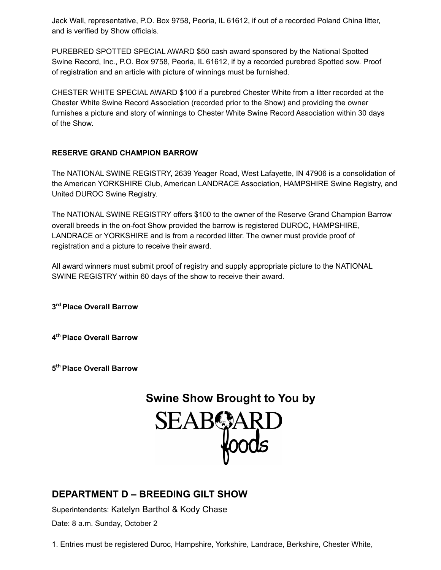Jack Wall, representative, P.O. Box 9758, Peoria, IL 61612, if out of a recorded Poland China litter, and is verified by Show officials.

PUREBRED SPOTTED SPECIAL AWARD \$50 cash award sponsored by the National Spotted Swine Record, Inc., P.O. Box 9758, Peoria, IL 61612, if by a recorded purebred Spotted sow. Proof of registration and an article with picture of winnings must be furnished.

CHESTER WHITE SPECIAL AWARD \$100 if a purebred Chester White from a litter recorded at the Chester White Swine Record Association (recorded prior to the Show) and providing the owner furnishes a picture and story of winnings to Chester White Swine Record Association within 30 days of the Show.

### **RESERVE GRAND CHAMPION BARROW**

The NATIONAL SWINE REGISTRY, 2639 Yeager Road, West Lafayette, IN 47906 is a consolidation of the American YORKSHIRE Club, American LANDRACE Association, HAMPSHIRE Swine Registry, and United DUROC Swine Registry.

The NATIONAL SWINE REGISTRY offers \$100 to the owner of the Reserve Grand Champion Barrow overall breeds in the on-foot Show provided the barrow is registered DUROC, HAMPSHIRE, LANDRACE or YORKSHIRE and is from a recorded litter. The owner must provide proof of registration and a picture to receive their award.

All award winners must submit proof of registry and supply appropriate picture to the NATIONAL SWINE REGISTRY within 60 days of the show to receive their award.

**3 rd Place Overall Barrow**

**4 th Place Overall Barrow**

**5 th Place Overall Barrow**



## **DEPARTMENT D – BREEDING GILT SHOW**

Superintendents: Katelyn Barthol & Kody Chase Date: 8 a.m. Sunday, October 2

1. Entries must be registered Duroc, Hampshire, Yorkshire, Landrace, Berkshire, Chester White,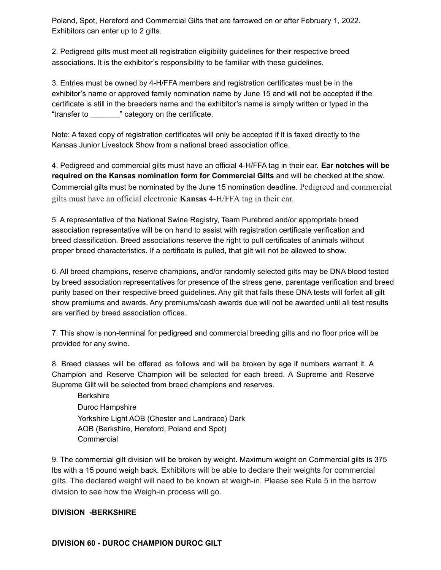Poland, Spot, Hereford and Commercial Gilts that are farrowed on or after February 1, 2022. Exhibitors can enter up to 2 gilts.

2. Pedigreed gilts must meet all registration eligibility guidelines for their respective breed associations. It is the exhibitor's responsibility to be familiar with these guidelines.

3. Entries must be owned by 4-H/FFA members and registration certificates must be in the exhibitor's name or approved family nomination name by June 15 and will not be accepted if the certificate is still in the breeders name and the exhibitor's name is simply written or typed in the "transfer to \_\_\_\_\_\_\_" category on the certificate.

Note: A faxed copy of registration certificates will only be accepted if it is faxed directly to the Kansas Junior Livestock Show from a national breed association office.

4. Pedigreed and commercial gilts must have an official 4-H/FFA tag in their ear. **Ear notches will be required on the Kansas nomination form for Commercial Gilts** and will be checked at the show. Commercial gilts must be nominated by the June 15 nomination deadline. Pedigreed and commercial gilts must have an official electronic **Kansas** 4-H/FFA tag in their ear.

5. A representative of the National Swine Registry, Team Purebred and/or appropriate breed association representative will be on hand to assist with registration certificate verification and breed classification. Breed associations reserve the right to pull certificates of animals without proper breed characteristics. If a certificate is pulled, that gilt will not be allowed to show.

6. All breed champions, reserve champions, and/or randomly selected gilts may be DNA blood tested by breed association representatives for presence of the stress gene, parentage verification and breed purity based on their respective breed guidelines. Any gilt that fails these DNA tests will forfeit all gilt show premiums and awards. Any premiums/cash awards due will not be awarded until all test results are verified by breed association offices.

7. This show is non-terminal for pedigreed and commercial breeding gilts and no floor price will be provided for any swine.

8. Breed classes will be offered as follows and will be broken by age if numbers warrant it. A Champion and Reserve Champion will be selected for each breed. A Supreme and Reserve Supreme Gilt will be selected from breed champions and reserves.

Berkshire Duroc Hampshire Yorkshire Light AOB (Chester and Landrace) Dark AOB (Berkshire, Hereford, Poland and Spot) Commercial

9. The commercial gilt division will be broken by weight. Maximum weight on Commercial gilts is 375 lbs with a 15 pound weigh back. Exhibitors will be able to declare their weights for commercial gilts. The declared weight will need to be known at weigh-in. Please see Rule 5 in the barrow division to see how the Weigh-in process will go.

#### **DIVISION -BERKSHIRE**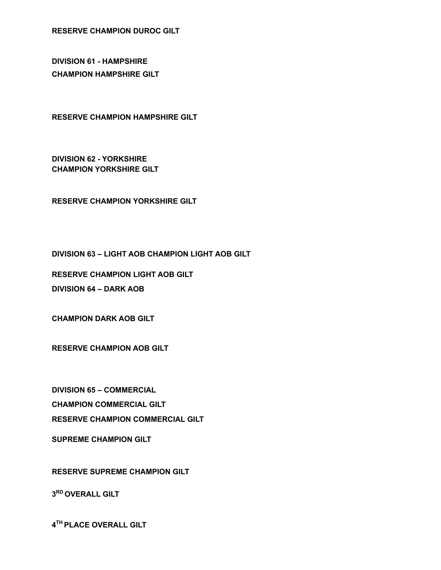**RESERVE CHAMPION DUROC GILT**

**DIVISION 61 - HAMPSHIRE CHAMPION HAMPSHIRE GILT**

**RESERVE CHAMPION HAMPSHIRE GILT**

**DIVISION 62 - YORKSHIRE CHAMPION YORKSHIRE GILT**

**RESERVE CHAMPION YORKSHIRE GILT**

**DIVISION 63 – LIGHT AOB CHAMPION LIGHT AOB GILT**

**RESERVE CHAMPION LIGHT AOB GILT**

**DIVISION 64 – DARK AOB**

**CHAMPION DARK AOB GILT**

**SUPREME CHAMPION GILT**

**CHAMPION COMMERCIAL GILT**

**DIVISION 65 – COMMERCIAL**

**RESERVE CHAMPION AOB GILT**

**RESERVE SUPREME CHAMPION GILT**

**RESERVE CHAMPION COMMERCIAL GILT**

**3 RD OVERALL GILT**

**4 TH PLACE OVERALL GILT**